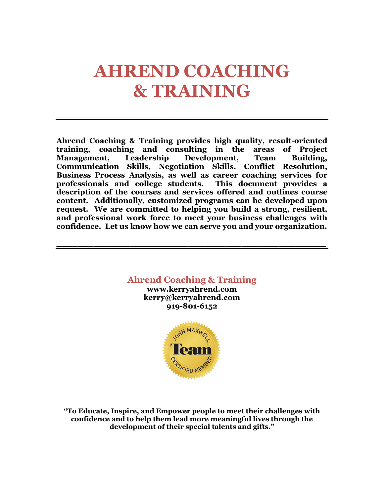# **AHREND COACHING & TRAINING**

**\_\_\_\_\_\_\_\_\_\_\_\_\_\_\_\_\_\_\_\_\_\_\_\_\_\_\_\_\_\_\_\_\_\_\_\_\_\_\_\_\_\_\_\_\_\_\_\_\_\_\_**

**Ahrend Coaching & Training provides high quality, result-oriented training, coaching and consulting in the areas of Project Management, Leadership Development, Team Building, Communication Skills, Negotiation Skills, Conflict Resolution, Business Process Analysis, as well as career coaching services for professionals and college students. This document provides a description of the courses and services offered and outlines course content. Additionally, customized programs can be developed upon request. We are committed to helping you build a strong, resilient, and professional work force to meet your business challenges with confidence. Let us know how we can serve you and your organization.** 

**\_\_\_\_\_\_\_\_\_\_\_\_\_\_\_\_\_\_\_\_\_\_\_\_\_\_\_\_\_\_\_\_\_\_\_\_\_\_\_\_\_\_\_\_\_\_\_\_\_\_\_**



**"To Educate, Inspire, and Empower people to meet their challenges with confidence and to help them lead more meaningful lives through the development of their special talents and gifts."**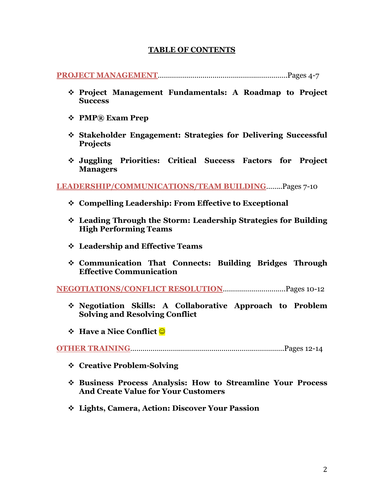#### **TABLE OF CONTENTS**

#### **PROJECT MANAGEMENT**……………………………………………………….Pages 4-7

- v **Project Management Fundamentals: A Roadmap to Project Success**
- v **PMP® Exam Prep**
- v **Stakeholder Engagement: Strategies for Delivering Successful Projects**
- v **Juggling Priorities: Critical Success Factors for Project Managers**

**LEADERSHIP/COMMUNICATIONS/TEAM BUILDING**……..Pages 7-10

- v **Compelling Leadership: From Effective to Exceptional**
- v **Leading Through the Storm: Leadership Strategies for Building High Performing Teams**
- v **Leadership and Effective Teams**
- v **Communication That Connects: Building Bridges Through Effective Communication**

**NEGOTIATIONS/CONFLICT RESOLUTION**………………………….Pages 10-12

- v **Negotiation Skills: A Collaborative Approach to Problem Solving and Resolving Conflict**
- *❖* Have a Nice Conflict **☉**

**OTHER TRAINING**………………………………………………………………….Pages 12-14

- v **Creative Problem-Solving**
- v **Business Process Analysis: How to Streamline Your Process And Create Value for Your Customers**
- v **Lights, Camera, Action: Discover Your Passion**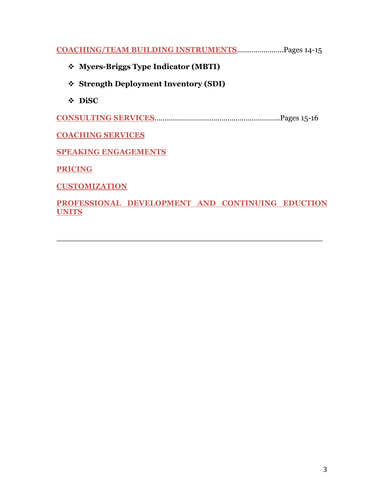**COACHING/TEAM BUILDING INSTRUMENTS**…………………..Pages 14-15

- v **Myers-Briggs Type Indicator (MBTI)**
- v **Strength Deployment Inventory (SDI)**
- v **DiSC**

**CONSULTING SERVICES**……………………………………………………..Pages 15-16

**COACHING SERVICES**

**SPEAKING ENGAGEMENTS**

**PRICING**

**CUSTOMIZATION**

#### **PROFESSIONAL DEVELOPMENT AND CONTINUING EDUCTION UNITS**

 $\mathcal{L}_\text{max}$  , and the contract of the contract of the contract of the contract of the contract of the contract of the contract of the contract of the contract of the contract of the contract of the contract of the contr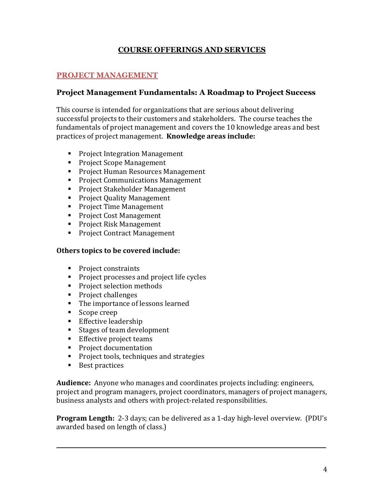# **COURSE OFFERINGS AND SERVICES**

## **PROJECT MANAGEMENT**

## **Project Management Fundamentals: A Roadmap to Project Success**

This course is intended for organizations that are serious about delivering successful projects to their customers and stakeholders. The course teaches the fundamentals of project management and covers the 10 knowledge areas and best practices of project management. **Knowledge areas include:** 

- Project Integration Management
- Project Scope Management
- Project Human Resources Management
- Project Communications Management
- Project Stakeholder Management
- Project Quality Management
- Project Time Management
- Project Cost Management
- Project Risk Management
- Project Contract Management

#### **Others topics to be covered include:**

- Project constraints
- Project processes and project life cycles
- Project selection methods
- Project challenges
- The importance of lessons learned
- Scope creep
- Effective leadership
- Stages of team development
- Effective project teams
- Project documentation
- Project tools, techniques and strategies
- Best practices

**Audience:** Anyone who manages and coordinates projects including: engineers, project and program managers, project coordinators, managers of project managers, business analysts and others with project-related responsibilities.

**Program Length:** 2-3 days; can be delivered as a 1-day high-level overview. (PDU's awarded based on length of class.)

**\_\_\_\_\_\_\_\_\_\_\_\_\_\_\_\_\_\_\_\_\_\_\_\_\_\_\_\_\_\_\_\_\_\_\_\_\_\_\_\_\_\_\_\_\_\_\_\_\_\_\_**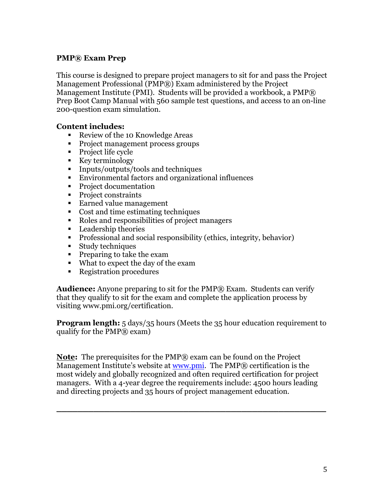### **PMP® Exam Prep**

This course is designed to prepare project managers to sit for and pass the Project Management Professional (PMP®) Exam administered by the Project Management Institute (PMI). Students will be provided a workbook, a PMP® Prep Boot Camp Manual with 560 sample test questions, and access to an on-line 200-question exam simulation.

#### **Content includes:**

- Review of the 10 Knowledge Areas
- Project management process groups
- Project life cycle
- Key terminology
- Inputs/outputs/tools and techniques
- Environmental factors and organizational influences
- Project documentation
- Project constraints
- Earned value management
- Cost and time estimating techniques
- Roles and responsibilities of project managers
- Leadership theories
- Professional and social responsibility (ethics, integrity, behavior)
- Study techniques
- Preparing to take the exam
- What to expect the day of the exam
- Registration procedures

**Audience:** Anyone preparing to sit for the PMP® Exam. Students can verify that they qualify to sit for the exam and complete the application process by visiting www.pmi.org/certification.

**Program length:** 5 days/35 hours (Meets the 35 hour education requirement to qualify for the  $PMP@$  exam)

**Note:** The prerequisites for the PMP® exam can be found on the Project Management Institute's website at www.pmi. The PMP® certification is the most widely and globally recognized and often required certification for project managers. With a 4-year degree the requirements include: 4500 hours leading and directing projects and 35 hours of project management education.

**\_\_\_\_\_\_\_\_\_\_\_\_\_\_\_\_\_\_\_\_\_\_\_\_\_\_\_\_\_\_\_\_\_\_\_\_\_\_\_\_\_\_\_\_\_\_\_\_\_\_\_**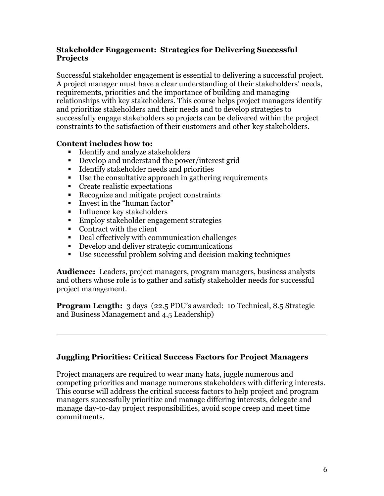### **Stakeholder Engagement: Strategies for Delivering Successful Projects**

Successful stakeholder engagement is essential to delivering a successful project. A project manager must have a clear understanding of their stakeholders' needs, requirements, priorities and the importance of building and managing relationships with key stakeholders. This course helps project managers identify and prioritize stakeholders and their needs and to develop strategies to successfully engage stakeholders so projects can be delivered within the project constraints to the satisfaction of their customers and other key stakeholders.

# **Content includes how to:**

- Identify and analyze stakeholders
- Develop and understand the power/interest grid
- Identify stakeholder needs and priorities
- Use the consultative approach in gathering requirements
- Create realistic expectations
- Recognize and mitigate project constraints
- Invest in the "human factor"
- Influence key stakeholders
- Employ stakeholder engagement strategies
- Contract with the client
- Deal effectively with communication challenges
- Develop and deliver strategic communications
- Use successful problem solving and decision making techniques

**Audience:** Leaders, project managers, program managers, business analysts and others whose role is to gather and satisfy stakeholder needs for successful project management.

**Program Length:** 3 days (22.5 PDU's awarded: 10 Technical, 8.5 Strategic and Business Management and 4.5 Leadership)

**\_\_\_\_\_\_\_\_\_\_\_\_\_\_\_\_\_\_\_\_\_\_\_\_\_\_\_\_\_\_\_\_\_\_\_\_\_\_\_\_\_\_\_\_\_\_\_\_\_\_\_**

### **Juggling Priorities: Critical Success Factors for Project Managers**

Project managers are required to wear many hats, juggle numerous and competing priorities and manage numerous stakeholders with differing interests. This course will address the critical success factors to help project and program managers successfully prioritize and manage differing interests, delegate and manage day-to-day project responsibilities, avoid scope creep and meet time commitments.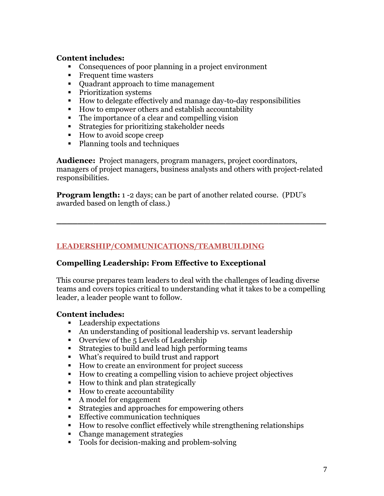#### **Content includes:**

- Consequences of poor planning in a project environment
- Frequent time wasters
- Quadrant approach to time management
- Prioritization systems
- How to delegate effectively and manage day-to-day responsibilities
- How to empower others and establish accountability
- The importance of a clear and compelling vision
- Strategies for prioritizing stakeholder needs
- How to avoid scope creep
- Planning tools and techniques

**Audience:** Project managers, program managers, project coordinators, managers of project managers, business analysts and others with project-related responsibilities.

**\_\_\_\_\_\_\_\_\_\_\_\_\_\_\_\_\_\_\_\_\_\_\_\_\_\_\_\_\_\_\_\_\_\_\_\_\_\_\_\_\_\_\_\_\_\_\_\_\_\_\_**

**Program length:** 1 -2 days; can be part of another related course. (PDU's awarded based on length of class.)

## **LEADERSHIP/COMMUNICATIONS/TEAMBUILDING**

### **Compelling Leadership: From Effective to Exceptional**

This course prepares team leaders to deal with the challenges of leading diverse teams and covers topics critical to understanding what it takes to be a compelling leader, a leader people want to follow.

### **Content includes:**

- Leadership expectations
- An understanding of positional leadership vs. servant leadership
- Overview of the 5 Levels of Leadership
- Strategies to build and lead high performing teams
- § What's required to build trust and rapport
- How to create an environment for project success
- How to creating a compelling vision to achieve project objectives
- How to think and plan strategically
- How to create accountability
- A model for engagement
- Strategies and approaches for empowering others
- Effective communication techniques
- How to resolve conflict effectively while strengthening relationships
- Change management strategies
- Tools for decision-making and problem-solving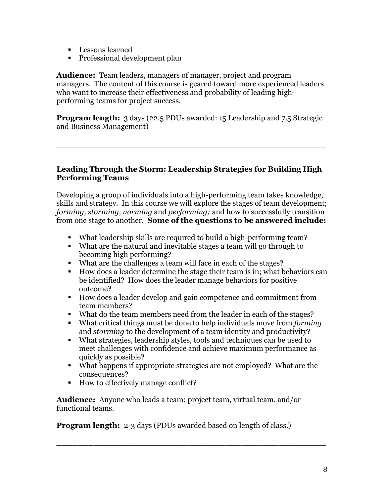- Lessons learned
- Professional development plan

**Audience:** Team leaders, managers of manager, project and program managers. The content of this course is geared toward more experienced leaders who want to increase their effectiveness and probability of leading highperforming teams for project success.

**Program length:** 3 days (22.5 PDUs awarded: 15 Leadership and 7.5 Strategic and Business Management)

**\_\_\_\_\_\_\_\_\_\_\_\_\_\_\_\_\_\_\_\_\_\_\_\_\_\_\_\_\_\_\_\_\_\_\_\_\_\_\_\_\_\_\_\_\_\_\_\_\_\_\_**

#### **Leading Through the Storm: Leadership Strategies for Building High Performing Teams**

Developing a group of individuals into a high-performing team takes knowledge, skills and strategy. In this course we will explore the stages of team development; *forming, storming, norming* and *performing;* and how to successfully transition from one stage to another. **Some of the questions to be answered include:**

- § What leadership skills are required to build a high-performing team?
- § What are the natural and inevitable stages a team will go through to becoming high performing?
- § What are the challenges a team will face in each of the stages?
- § How does a leader determine the stage their team is in; what behaviors can be identified? How does the leader manage behaviors for positive outcome?
- How does a leader develop and gain competence and commitment from team members?
- § What do the team members need from the leader in each of the stages?
- § What critical things must be done to help individuals move from *forming*  and *storming* to the development of a team identity and productivity?
- What strategies, leadership styles, tools and techniques can be used to meet challenges with confidence and achieve maximum performance as quickly as possible?
- § What happens if appropriate strategies are not employed? What are the consequences?

**\_\_\_\_\_\_\_\_\_\_\_\_\_\_\_\_\_\_\_\_\_\_\_\_\_\_\_\_\_\_\_\_\_\_\_\_\_\_\_\_\_\_\_\_\_\_\_\_\_\_\_**

■ How to effectively manage conflict?

**Audience:** Anyone who leads a team: project team, virtual team, and/or functional teams.

**Program length:** 2-3 days (PDUs awarded based on length of class.)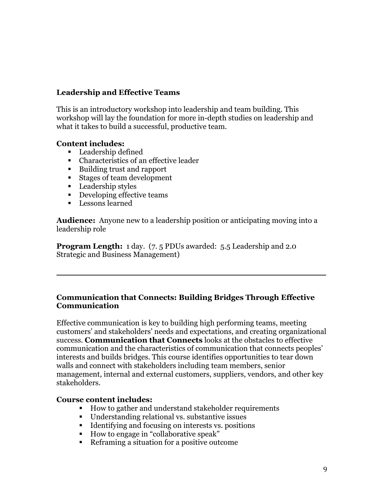# **Leadership and Effective Teams**

This is an introductory workshop into leadership and team building. This workshop will lay the foundation for more in-depth studies on leadership and what it takes to build a successful, productive team.

### **Content includes:**

- Leadership defined
- Characteristics of an effective leader
- Building trust and rapport
- Stages of team development
- Leadership styles
- Developing effective teams
- **•** Lessons learned

**Audience:** Anyone new to a leadership position or anticipating moving into a leadership role

**Program Length:** 1 day. (7.5 PDUs awarded: 5.5 Leadership and 2.0) Strategic and Business Management)

#### **Communication that Connects: Building Bridges Through Effective Communication**

**\_\_\_\_\_\_\_\_\_\_\_\_\_\_\_\_\_\_\_\_\_\_\_\_\_\_\_\_\_\_\_\_\_\_\_\_\_\_\_\_\_\_\_\_\_\_\_\_\_\_\_**

Effective communication is key to building high performing teams, meeting customers' and stakeholders' needs and expectations, and creating organizational success. **Communication that Connects** looks at the obstacles to effective communication and the characteristics of communication that connects peoples' interests and builds bridges. This course identifies opportunities to tear down walls and connect with stakeholders including team members, senior management, internal and external customers, suppliers, vendors, and other key stakeholders.

#### **Course content includes:**

- How to gather and understand stakeholder requirements
- Understanding relational vs. substantive issues
- Identifying and focusing on interests vs. positions
- How to engage in "collaborative speak"
- Reframing a situation for a positive outcome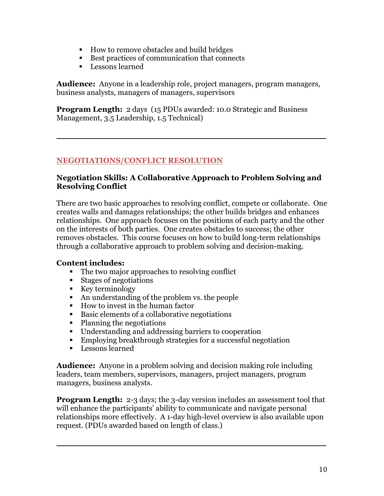- How to remove obstacles and build bridges
- Best practices of communication that connects
- Lessons learned

**Audience:** Anyone in a leadership role, project managers, program managers, business analysts, managers of managers, supervisors

**Program Length:** 2 days (15 PDUs awarded: 10.0 Strategic and Business Management, 3.5 Leadership, 1.5 Technical)

# **NEGOTIATIONS/CONFLICT RESOLUTION**

#### **Negotiation Skills: A Collaborative Approach to Problem Solving and Resolving Conflict**

**\_\_\_\_\_\_\_\_\_\_\_\_\_\_\_\_\_\_\_\_\_\_\_\_\_\_\_\_\_\_\_\_\_\_\_\_\_\_\_\_\_\_\_\_\_\_\_\_\_\_\_**

There are two basic approaches to resolving conflict, compete or collaborate. One creates walls and damages relationships; the other builds bridges and enhances relationships. One approach focuses on the positions of each party and the other on the interests of both parties. One creates obstacles to success; the other removes obstacles. This course focuses on how to build long-term relationships through a collaborative approach to problem solving and decision-making.

### **Content includes:**

- The two major approaches to resolving conflict
- Stages of negotiations
- Key terminology
- An understanding of the problem vs. the people
- How to invest in the human factor
- Basic elements of a collaborative negotiations
- Planning the negotiations
- Understanding and addressing barriers to cooperation
- Employing breakthrough strategies for a successful negotiation
- Lessons learned

**Audience:** Anyone in a problem solving and decision making role including leaders, team members, supervisors, managers, project managers, program managers, business analysts.

**Program Length:** 2-3 days; the 3-day version includes an assessment tool that will enhance the participants' ability to communicate and navigate personal relationships more effectively. A 1-day high-level overview is also available upon request. (PDUs awarded based on length of class.)

**\_\_\_\_\_\_\_\_\_\_\_\_\_\_\_\_\_\_\_\_\_\_\_\_\_\_\_\_\_\_\_\_\_\_\_\_\_\_\_\_\_\_\_\_\_\_\_\_\_\_\_**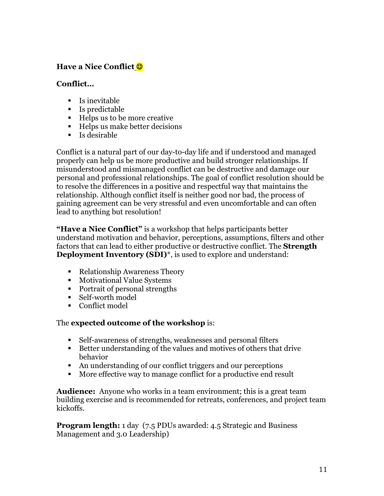# **Have a Nice Conflict**  $\odot$

#### **Conflict…**

- § Is inevitable
- Is predictable
- Helps us to be more creative
- Helps us make better decisions
- Is desirable

Conflict is a natural part of our day-to-day life and if understood and managed properly can help us be more productive and build stronger relationships. If misunderstood and mismanaged conflict can be destructive and damage our personal and professional relationships. The goal of conflict resolution should be to resolve the differences in a positive and respectful way that maintains the relationship. Although conflict itself is neither good nor bad, the process of gaining agreement can be very stressful and even uncomfortable and can often lead to anything but resolution!

**"Have a Nice Conflict"** is a workshop that helps participants better understand motivation and behavior, perceptions, assumptions, filters and other factors that can lead to either productive or destructive conflict. The **Strength Deployment Inventory (SDI)**\*, is used to explore and understand:

- Relationship Awareness Theory
- Motivational Value Systems
- Portrait of personal strengths
- § Self-worth model
- Conflict model

#### The **expected outcome of the workshop** is:

- Self-awareness of strengths, weaknesses and personal filters
- Better understanding of the values and motives of others that drive behavior
- An understanding of our conflict triggers and our perceptions
- More effective way to manage conflict for a productive end result

**Audience:** Anyone who works in a team environment; this is a great team building exercise and is recommended for retreats, conferences, and project team kickoffs.

**Program length:** 1 day (7.5 PDUs awarded: 4.5 Strategic and Business Management and 3.0 Leadership)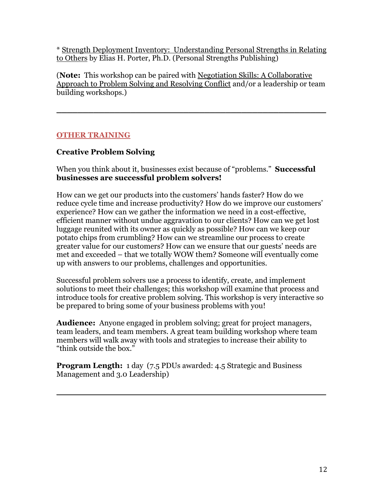\* Strength Deployment Inventory: Understanding Personal Strengths in Relating to Others by Elias H. Porter, Ph.D. (Personal Strengths Publishing)

(**Note:** This workshop can be paired with Negotiation Skills: A Collaborative Approach to Problem Solving and Resolving Conflict and/or a leadership or team building workshops.)

**\_\_\_\_\_\_\_\_\_\_\_\_\_\_\_\_\_\_\_\_\_\_\_\_\_\_\_\_\_\_\_\_\_\_\_\_\_\_\_\_\_\_\_\_\_\_\_\_\_\_\_**

# **OTHER TRAINING**

# **Creative Problem Solving**

When you think about it, businesses exist because of "problems." **Successful businesses are successful problem solvers!**

How can we get our products into the customers' hands faster? How do we reduce cycle time and increase productivity? How do we improve our customers' experience? How can we gather the information we need in a cost-effective, efficient manner without undue aggravation to our clients? How can we get lost luggage reunited with its owner as quickly as possible? How can we keep our potato chips from crumbling? How can we streamline our process to create greater value for our customers? How can we ensure that our guests' needs are met and exceeded – that we totally WOW them? Someone will eventually come up with answers to our problems, challenges and opportunities.

Successful problem solvers use a process to identify, create, and implement solutions to meet their challenges; this workshop will examine that process and introduce tools for creative problem solving. This workshop is very interactive so be prepared to bring some of your business problems with you!

**Audience:** Anyone engaged in problem solving; great for project managers, team leaders, and team members. A great team building workshop where team members will walk away with tools and strategies to increase their ability to "think outside the box."

**\_\_\_\_\_\_\_\_\_\_\_\_\_\_\_\_\_\_\_\_\_\_\_\_\_\_\_\_\_\_\_\_\_\_\_\_\_\_\_\_\_\_\_\_\_\_\_\_\_\_\_**

**Program Length:** 1 day (7.5 PDUs awarded: 4.5 Strategic and Business Management and 3.0 Leadership)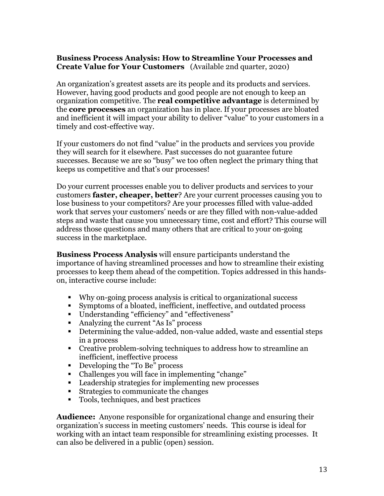### **Business Process Analysis: How to Streamline Your Processes and Create Value for Your Customers** (Available 2nd quarter, 2020)

An organization's greatest assets are its people and its products and services. However, having good products and good people are not enough to keep an organization competitive. The **real competitive advantage** is determined by the **core processes** an organization has in place. If your processes are bloated and inefficient it will impact your ability to deliver "value" to your customers in a timely and cost-effective way.

If your customers do not find "value" in the products and services you provide they will search for it elsewhere. Past successes do not guarantee future successes. Because we are so "busy" we too often neglect the primary thing that keeps us competitive and that's our processes!

Do your current processes enable you to deliver products and services to your customers **faster, cheaper, better**? Are your current processes causing you to lose business to your competitors? Are your processes filled with value-added work that serves your customers' needs or are they filled with non-value-added steps and waste that cause you unnecessary time, cost and effort? This course will address those questions and many others that are critical to your on-going success in the marketplace.

**Business Process Analysis** will ensure participants understand the importance of having streamlined processes and how to streamline their existing processes to keep them ahead of the competition. Topics addressed in this handson, interactive course include:

- § Why on-going process analysis is critical to organizational success
- Symptoms of a bloated, inefficient, ineffective, and outdated process
- § Understanding "efficiency" and "effectiveness"
- Analyzing the current "As Is" process
- Determining the value-added, non-value added, waste and essential steps in a process
- Creative problem-solving techniques to address how to streamline an inefficient, ineffective process
- Developing the "To Be" process
- Challenges you will face in implementing "change"
- Leadership strategies for implementing new processes
- Strategies to communicate the changes
- Tools, techniques, and best practices

**Audience:** Anyone responsible for organizational change and ensuring their organization's success in meeting customers' needs. This course is ideal for working with an intact team responsible for streamlining existing processes. It can also be delivered in a public (open) session.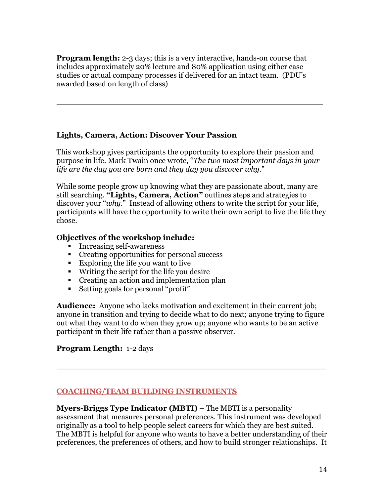**Program length:** 2-3 days; this is a very interactive, hands-on course that includes approximately 20% lecture and 80% application using either case studies or actual company processes if delivered for an intact team. (PDU's awarded based on length of class)

# **Lights, Camera, Action: Discover Your Passion**

This workshop gives participants the opportunity to explore their passion and purpose in life. Mark Twain once wrote, "*The two most important days in your life are the day you are born and they day you discover why*."

\_\_\_\_\_\_\_\_\_\_\_\_\_\_\_\_\_\_\_\_\_\_\_\_\_\_\_\_\_\_\_\_\_\_\_\_\_\_\_\_\_\_\_\_\_\_\_\_\_\_\_\_\_\_\_

While some people grow up knowing what they are passionate about, many are still searching. **"Lights, Camera, Action"** outlines steps and strategies to discover your "*why*." Instead of allowing others to write the script for your life, participants will have the opportunity to write their own script to live the life they chose.

### **Objectives of the workshop include:**

- Increasing self-awareness
- Creating opportunities for personal success
- Exploring the life you want to live
- § Writing the script for the life you desire
- Creating an action and implementation plan
- Setting goals for personal "profit"

**Audience:** Anyone who lacks motivation and excitement in their current job; anyone in transition and trying to decide what to do next; anyone trying to figure out what they want to do when they grow up; anyone who wants to be an active participant in their life rather than a passive observer.

**\_\_\_\_\_\_\_\_\_\_\_\_\_\_\_\_\_\_\_\_\_\_\_\_\_\_\_\_\_\_\_\_\_\_\_\_\_\_\_\_\_\_\_\_\_\_\_\_\_\_\_**

# **Program Length:** 1-2 days

# **COACHING/TEAM BUILDING INSTRUMENTS**

**Myers-Briggs Type Indicator (MBTI)** – The MBTI is a personality assessment that measures personal preferences. This instrument was developed originally as a tool to help people select careers for which they are best suited. The MBTI is helpful for anyone who wants to have a better understanding of their preferences, the preferences of others, and how to build stronger relationships. It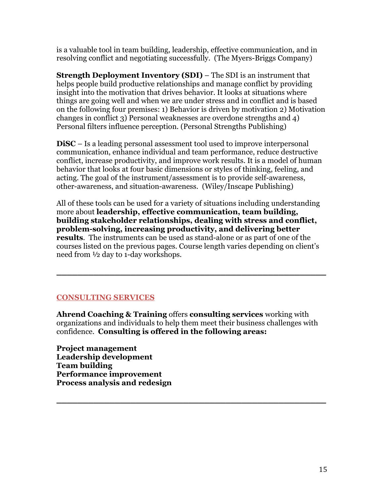is a valuable tool in team building, leadership, effective communication, and in resolving conflict and negotiating successfully. (The Myers-Briggs Company)

**Strength Deployment Inventory (SDI)** – The SDI is an instrument that helps people build productive relationships and manage conflict by providing insight into the motivation that drives behavior. It looks at situations where things are going well and when we are under stress and in conflict and is based on the following four premises: 1) Behavior is driven by motivation 2) Motivation changes in conflict 3) Personal weaknesses are overdone strengths and 4) Personal filters influence perception. (Personal Strengths Publishing)

**DiSC** – Is a leading personal assessment tool used to improve interpersonal communication, enhance individual and team performance, reduce destructive conflict, increase productivity, and improve work results. It is a model of human behavior that looks at four basic dimensions or styles of thinking, feeling, and acting. The goal of the instrument/assessment is to provide self-awareness, other-awareness, and situation-awareness. (Wiley/Inscape Publishing)

All of these tools can be used for a variety of situations including understanding more about **leadership, effective communication, team building, building stakeholder relationships, dealing with stress and conflict, problem-solving, increasing productivity, and delivering better results**. The instruments can be used as stand-alone or as part of one of the courses listed on the previous pages. Course length varies depending on client's need from ½ day to 1-day workshops.

**\_\_\_\_\_\_\_\_\_\_\_\_\_\_\_\_\_\_\_\_\_\_\_\_\_\_\_\_\_\_\_\_\_\_\_\_\_\_\_\_\_\_\_\_\_\_\_\_\_\_\_**

### **CONSULTING SERVICES**

**Ahrend Coaching & Training** offers **consulting services** working with organizations and individuals to help them meet their business challenges with confidence. **Consulting is offered in the following areas:**

**\_\_\_\_\_\_\_\_\_\_\_\_\_\_\_\_\_\_\_\_\_\_\_\_\_\_\_\_\_\_\_\_\_\_\_\_\_\_\_\_\_\_\_\_\_\_\_\_\_\_\_**

**Project management Leadership development Team building Performance improvement Process analysis and redesign**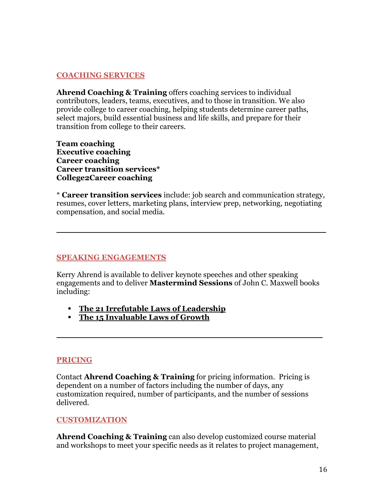### **COACHING SERVICES**

**Ahrend Coaching & Training** offers coaching services to individual contributors, leaders, teams, executives, and to those in transition. We also provide college to career coaching, helping students determine career paths, select majors, build essential business and life skills, and prepare for their transition from college to their careers.

**Team coaching Executive coaching Career coaching Career transition services\* College2Career coaching**

\* **Career transition services** include: job search and communication strategy, resumes, cover letters, marketing plans, interview prep, networking, negotiating compensation, and social media.

**\_\_\_\_\_\_\_\_\_\_\_\_\_\_\_\_\_\_\_\_\_\_\_\_\_\_\_\_\_\_\_\_\_\_\_\_\_\_\_\_\_\_\_\_\_\_\_\_\_\_\_**

#### **SPEAKING ENGAGEMENTS**

Kerry Ahrend is available to deliver keynote speeches and other speaking engagements and to deliver **Mastermind Sessions** of John C. Maxwell books including:

\_\_\_\_\_\_\_\_\_\_\_\_\_\_\_\_\_\_\_\_\_\_\_\_\_\_\_\_\_\_\_\_\_\_\_\_\_\_\_\_\_\_\_\_\_\_\_\_\_\_\_\_\_\_\_

- § **The 21 Irrefutable Laws of Leadership**
- § **The 15 Invaluable Laws of Growth**

#### **PRICING**

Contact **Ahrend Coaching & Training** for pricing information. Pricing is dependent on a number of factors including the number of days, any customization required, number of participants, and the number of sessions delivered.

#### **CUSTOMIZATION**

**Ahrend Coaching & Training** can also develop customized course material and workshops to meet your specific needs as it relates to project management,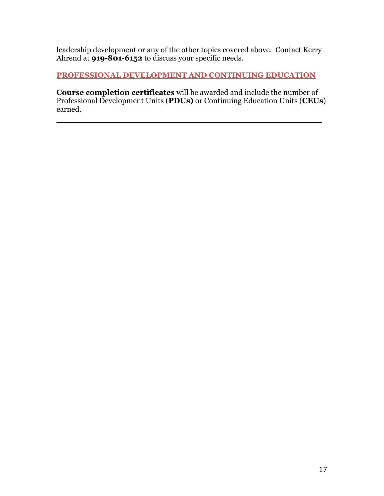leadership development or any of the other topics covered above. Contact Kerry Ahrend at **919-801-6152** to discuss your specific needs.

**PROFESSIONAL DEVELOPMENT AND CONTINUING EDUCATION** 

**Course completion certificates** will be awarded and include the number of Professional Development Units (**PDUs)** or Continuing Education Units (**CEUs**) earned.

**\_\_\_\_\_\_\_\_\_\_\_\_\_\_\_\_\_\_\_\_\_\_\_\_\_\_\_\_\_\_\_\_\_\_\_\_\_\_\_\_\_\_\_**